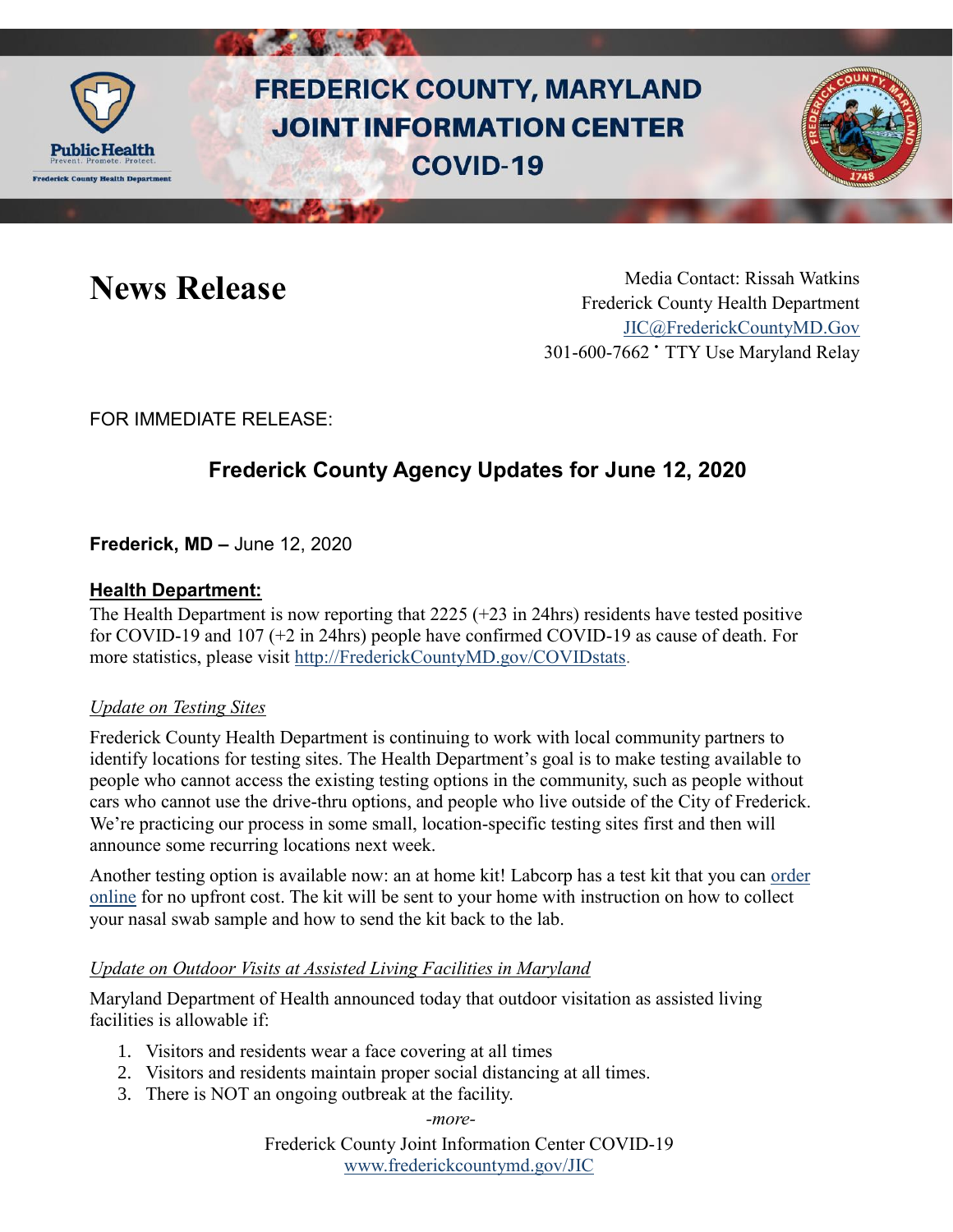

# **FREDERICK COUNTY, MARYLAND JOINT INFORMATION CENTER COVID-19**



News Release Media Contact: Rissah Watkins Frederick County Health Department [JIC@FrederickCountyMD.Gov](mailto:JIC@FrederickCountyMD.Gov) 301-600-7662 • TTY Use Maryland Relay

FOR IMMEDIATE RELEASE:

# **Frederick County Agency Updates for June 12, 2020**

**Frederick, MD –** June 12, 2020

# **Health Department:**

The Health Department is now reporting that  $2225 (+23)$  in 24hrs) residents have tested positive for COVID-19 and 107 (+2 in 24hrs) people have confirmed COVID-19 as cause of death. For more statistics, please visit [http://FrederickCountyMD.gov/COVIDstats.](http://frederickcountymd.gov/COVIDstats)

### *Update on Testing Sites*

Frederick County Health Department is continuing to work with local community partners to identify locations for testing sites. The Health Department's goal is to make testing available to people who cannot access the existing testing options in the community, such as people without cars who cannot use the drive-thru options, and people who live outside of the City of Frederick. We're practicing our process in some small, location-specific testing sites first and then will announce some recurring locations next week.

Another testing option is available now: an at home kit! Labcorp has a test kit that you can [order](https://www.pixel.labcorp.com/at-home-test-kits/covid-19-test)  [online](https://www.pixel.labcorp.com/at-home-test-kits/covid-19-test) for no upfront cost. The kit will be sent to your home with instruction on how to collect your nasal swab sample and how to send the kit back to the lab.

# *Update on Outdoor Visits at Assisted Living Facilities in Maryland*

Maryland Department of Health announced today that outdoor visitation as assisted living facilities is allowable if:

- 1. Visitors and residents wear a face covering at all times
- 2. Visitors and residents maintain proper social distancing at all times.
- 3. There is NOT an ongoing outbreak at the facility.
	- *-more-*

Frederick County Joint Information Center COVID-19 [www.frederickcountymd.gov/JIC](https://frederickcountymd.gov/JIC)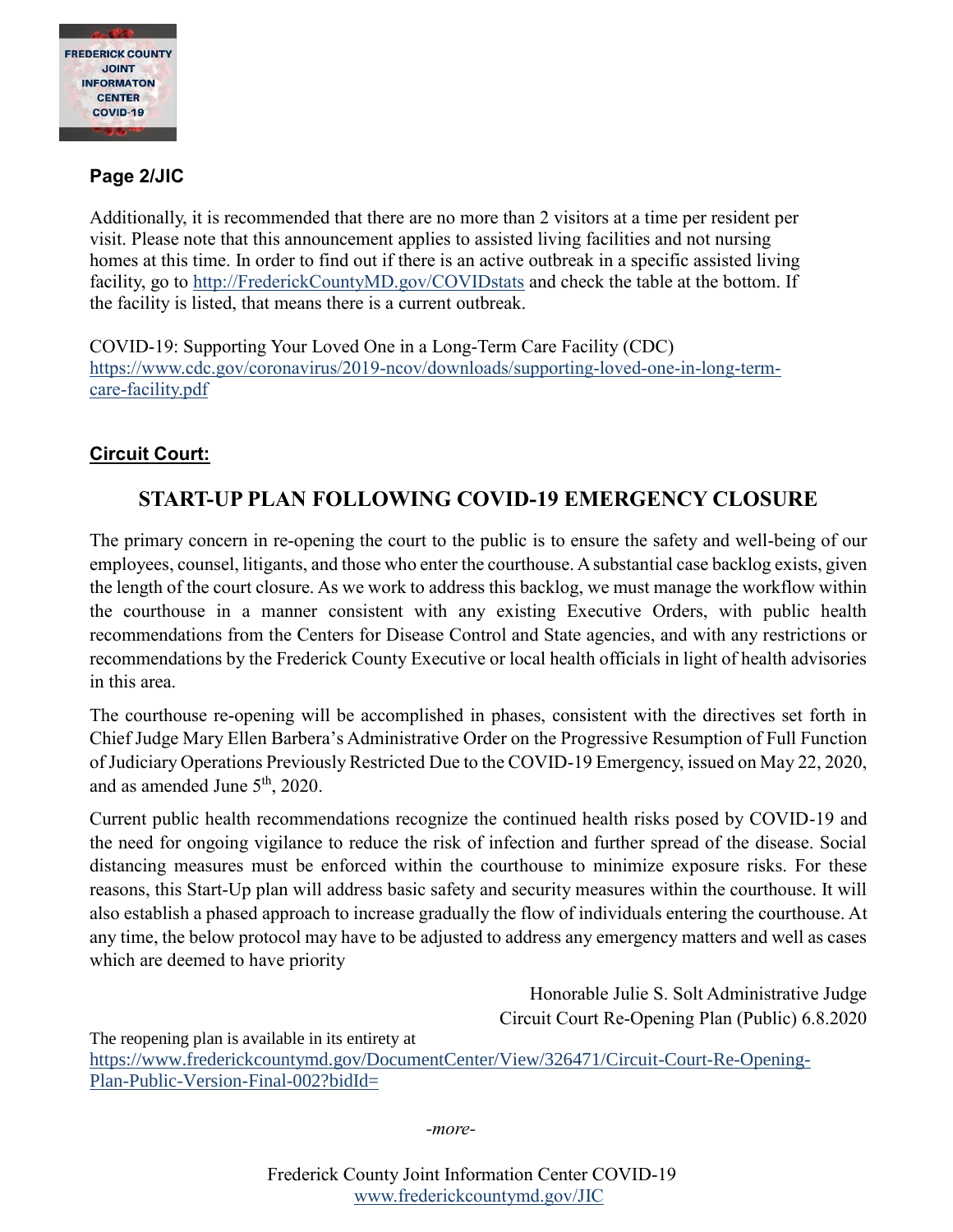

# **Page 2/JIC**

Additionally, it is recommended that there are no more than 2 visitors at a time per resident per visit. Please note that this announcement applies to assisted living facilities and not nursing homes at this time. In order to find out if there is an active outbreak in a specific assisted living facility, go to [http://FrederickCountyMD.gov/COVIDstats](http://frederickcountymd.gov/COVIDstats) and check the table at the bottom. If the facility is listed, that means there is a current outbreak.

COVID-19: Supporting Your Loved One in a Long-Term Care Facility (CDC) [https://www.cdc.gov/coronavirus/2019-ncov/downloads/supporting-loved-one-in-long-term](https://www.cdc.gov/coronavirus/2019-ncov/downloads/supporting-loved-one-in-long-term-care-facility.pdf)[care-facility.pdf](https://www.cdc.gov/coronavirus/2019-ncov/downloads/supporting-loved-one-in-long-term-care-facility.pdf)

# **Circuit Court:**

# **START-UP PLAN FOLLOWING COVID-19 EMERGENCY CLOSURE**

The primary concern in re-opening the court to the public is to ensure the safety and well-being of our employees, counsel, litigants, and those who enter the courthouse. A substantial case backlog exists, given the length of the court closure. As we work to address this backlog, we must manage the workflow within the courthouse in a manner consistent with any existing Executive Orders, with public health recommendations from the Centers for Disease Control and State agencies, and with any restrictions or recommendations by the Frederick County Executive or local health officials in light of health advisories in this area.

The courthouse re-opening will be accomplished in phases, consistent with the directives set forth in Chief Judge Mary Ellen Barbera's Administrative Order on the Progressive Resumption of Full Function of Judiciary Operations Previously Restricted Due to the COVID-19 Emergency, issued on May 22, 2020, and as amended June  $5<sup>th</sup>$ , 2020.

Current public health recommendations recognize the continued health risks posed by COVID-19 and the need for ongoing vigilance to reduce the risk of infection and further spread of the disease. Social distancing measures must be enforced within the courthouse to minimize exposure risks. For these reasons, this Start-Up plan will address basic safety and security measures within the courthouse. It will also establish a phased approach to increase gradually the flow of individuals entering the courthouse. At any time, the below protocol may have to be adjusted to address any emergency matters and well as cases which are deemed to have priority

> Honorable Julie S. Solt Administrative Judge Circuit Court Re-Opening Plan (Public) 6.8.2020

The reopening plan is available in its entirety at [https://www.frederickcountymd.gov/DocumentCenter/View/326471/Circuit-Court-Re-Opening-](https://www.frederickcountymd.gov/DocumentCenter/View/326471/Circuit-Court-Re-Opening-Plan-Public-Version-Final-002?bidId=)[Plan-Public-Version-Final-002?bidId=](https://www.frederickcountymd.gov/DocumentCenter/View/326471/Circuit-Court-Re-Opening-Plan-Public-Version-Final-002?bidId=)

*-more-*